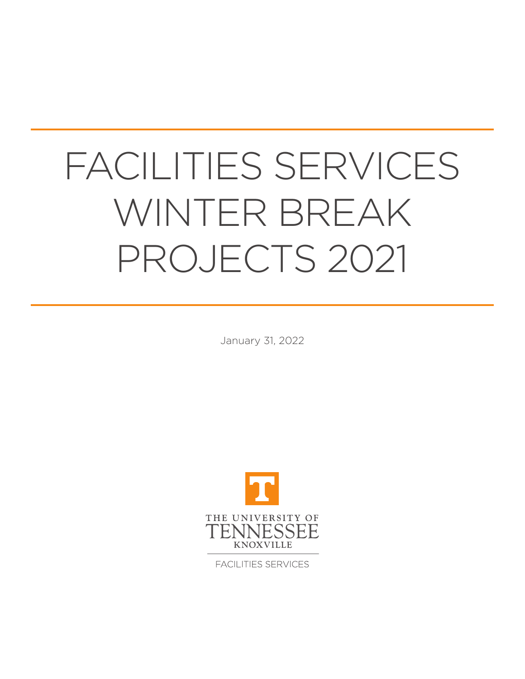# FACILITIES SERVICES WINTER BREAK PROJECTS 2021

January 31, 2022



**FACILITIES SERVICES**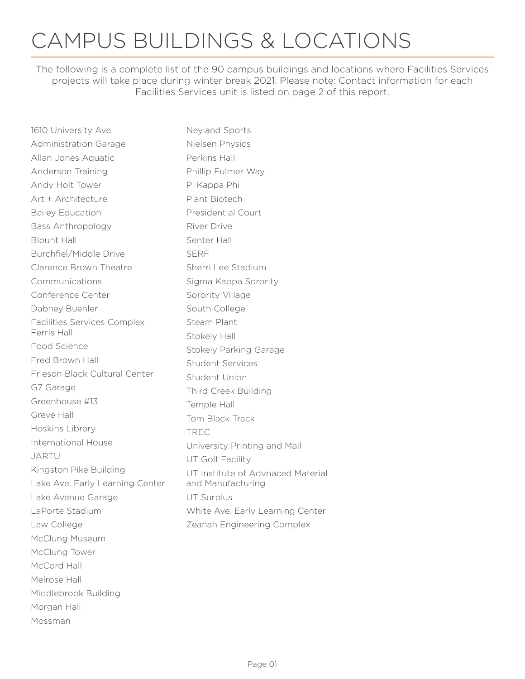## CAMPUS BUILDINGS & LOCATIONS

The following is a complete list of the 90 campus buildings and locations where Facilities Services projects will take place during winter break 2021. Please note: Contact information for each Facilities Services unit is listed on page 2 of this report.

| 1610 University Ave.            | Neyland Sports                    |
|---------------------------------|-----------------------------------|
| <b>Administration Garage</b>    | Nielsen Physics                   |
| Allan Jones Aquatic             | Perkins Hall                      |
| Anderson Training               | Phillip Fulmer Way                |
| Andy Holt Tower                 | Pi Kappa Phi                      |
| Art + Architecture              | Plant Biotech                     |
| <b>Bailey Education</b>         | <b>Presidential Court</b>         |
| <b>Bass Anthropology</b>        | River Drive                       |
| <b>Blount Hall</b>              | Senter Hall                       |
| Burchfiel/Middle Drive          | <b>SERF</b>                       |
| Clarence Brown Theatre          | Sherri Lee Stadium                |
| Communications                  | Sigma Kappa Sorority              |
| Conference Center               | Sorority Village                  |
| Dabney Buehler                  | South College                     |
| Facilities Services Complex     | Steam Plant                       |
| Ferris Hall                     | Stokely Hall                      |
| Food Science                    | <b>Stokely Parking Garage</b>     |
| Fred Brown Hall                 | <b>Student Services</b>           |
| Frieson Black Cultural Center   | <b>Student Union</b>              |
| G7 Garage                       | Third Creek Building              |
| Greenhouse #13                  | Temple Hall                       |
| Greve Hall                      | Tom Black Track                   |
| Hoskins Library                 | <b>TREC</b>                       |
| International House             | University Printing and Mail      |
| <b>JARTU</b>                    | UT Golf Facility                  |
| Kingston Pike Building          | UT Institute of Advnaced Material |
| Lake Ave. Early Learning Center | and Manufacturing                 |
| Lake Avenue Garage              | <b>UT Surplus</b>                 |
| LaPorte Stadium                 | White Ave. Early Learning Center  |
| Law College                     | Zeanah Engineering Complex        |
| McClung Museum                  |                                   |
| McClung Tower                   |                                   |
| McCord Hall                     |                                   |
| Melrose Hall                    |                                   |
| Middlebrook Building            |                                   |
| Morgan Hall                     |                                   |
| Mossman                         |                                   |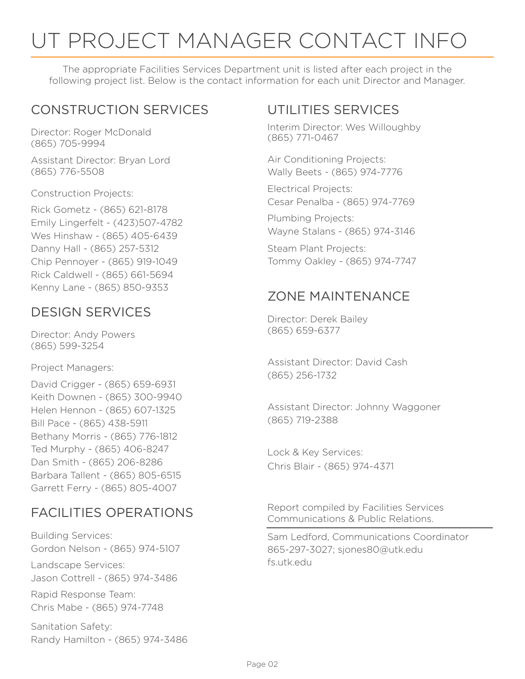# UT PROJECT MANAGER CONTACT INFO

The appropriate Facilities Services Department unit is listed after each project in the following project list. Below is the contact information for each unit Director and Manager.

### CONSTRUCTION SERVICES

Director: Roger McDonald (865) 705-9994

Assistant Director: Bryan Lord (865) 776-5508

Construction Projects:

Rick Gometz - (865) 621-8178 Emily Lingerfelt - (423)507-4782 Wes Hinshaw - (865) 405-6439 Danny Hall - (865) 257-5312 Chip Pennoyer - (865) 919-1049 Rick Caldwell - (865) 661-5694 Kenny Lane - (865) 850-9353

### DESIGN SERVICES

Director: Andy Powers (865) 599-3254

Project Managers:

David Crigger - (865) 659-6931 Keith Downen - (865) 300-9940 Helen Hennon - (865) 607-1325 Bill Pace - (865) 438-5911 Bethany Morris - (865) 776-1812 Ted Murphy - (865) 406-8247 Dan Smith - (865) 206-8286 Barbara Tallent - (865) 805-6515 Garrett Ferry - (865) 805-4007

### FACILITIES OPERATIONS

Building Services: Gordon Nelson - (865) 974-5107

Landscape Services: Jason Cottrell - (865) 974-3486

Rapid Response Team: Chris Mabe - (865) 974-7748

Sanitation Safety: Randy Hamilton - (865) 974-3486

### UTILITIES SERVICES

Interim Director: Wes Willoughby (865) 771-0467

Air Conditioning Projects: Wally Beets - (865) 974-7776

Electrical Projects: Cesar Penalba - (865) 974-7769

Plumbing Projects: Wayne Stalans - (865) 974-3146

Steam Plant Projects: Tommy Oakley - (865) 974-7747

### ZONE MAINTENANCE

Director: Derek Bailey (865) 659-6377

Assistant Director: David Cash (865) 256-1732

Assistant Director: Johnny Waggoner (865) 719-2388

Lock & Key Services: Chris Blair - (865) 974-4371

Report compiled by Facilities Services Communications & Public Relations.

Sam Ledford, Communications Coordinator 865-297-3027; sjones80@utk.edu fs.utk.edu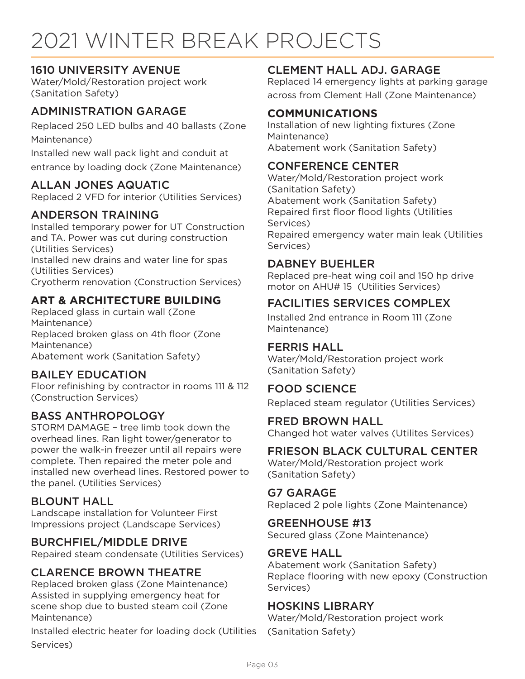# 2021 WINTER BREAK PROJECTS

#### 1610 UNIVERSITY AVENUE

Water/Mold/Restoration project work (Sanitation Safety)

#### ADMINISTRATION GARAGE

Replaced 250 LED bulbs and 40 ballasts (Zone Maintenance)

Installed new wall pack light and conduit at entrance by loading dock (Zone Maintenance)

#### ALLAN JONES AQUATIC

Replaced 2 VFD for interior (Utilities Services)

#### ANDERSON TRAINING

Installed temporary power for UT Construction and TA. Power was cut during construction (Utilities Services) Installed new drains and water line for spas (Utilities Services) Cryotherm renovation (Construction Services)

#### **ART & ARCHITECTURE BUILDING**

Replaced glass in curtain wall (Zone Maintenance) Replaced broken glass on 4th floor (Zone Maintenance) Abatement work (Sanitation Safety)

#### BAILEY EDUCATION

Floor refinishing by contractor in rooms 111 & 112 (Construction Services)

#### BASS ANTHROPOLOGY

STORM DAMAGE – tree limb took down the overhead lines. Ran light tower/generator to power the walk-in freezer until all repairs were complete. Then repaired the meter pole and installed new overhead lines. Restored power to the panel. (Utilities Services)

#### BLOUNT HALL

Landscape installation for Volunteer First Impressions project (Landscape Services)

#### BURCHFIEL/MIDDLE DRIVE

Repaired steam condensate (Utilities Services)

#### CLARENCE BROWN THEATRE

Replaced broken glass (Zone Maintenance) Assisted in supplying emergency heat for scene shop due to busted steam coil (Zone Maintenance)

Installed electric heater for loading dock (Utilities Services)

#### CLEMENT HALL ADJ. GARAGE

Replaced 14 emergency lights at parking garage across from Clement Hall (Zone Maintenance)

#### **COMMUNICATIONS**

Installation of new lighting fixtures (Zone Maintenance) Abatement work (Sanitation Safety)

#### CONFERENCE CENTER

Water/Mold/Restoration project work (Sanitation Safety) Abatement work (Sanitation Safety) Repaired first floor flood lights (Utilities Services) Repaired emergency water main leak (Utilities Services)

#### DABNEY BUEHLER

Replaced pre-heat wing coil and 150 hp drive motor on AHU# 15 (Utilities Services)

#### FACILITIES SERVICES COMPLEX

Installed 2nd entrance in Room 111 (Zone Maintenance)

#### FERRIS HALL

Water/Mold/Restoration project work (Sanitation Safety)

#### FOOD SCIENCE

Replaced steam regulator (Utilities Services)

#### FRED BROWN HALL

Changed hot water valves (Utilites Services)

#### FRIESON BLACK CULTURAL CENTER

Water/Mold/Restoration project work (Sanitation Safety)

#### G7 GARAGE

Replaced 2 pole lights (Zone Maintenance)

#### GREENHOUSE #13

Secured glass (Zone Maintenance)

#### GREVE HALL

Abatement work (Sanitation Safety) Replace flooring with new epoxy (Construction Services)

#### HOSKINS LIBRARY

Water/Mold/Restoration project work (Sanitation Safety)

Page 03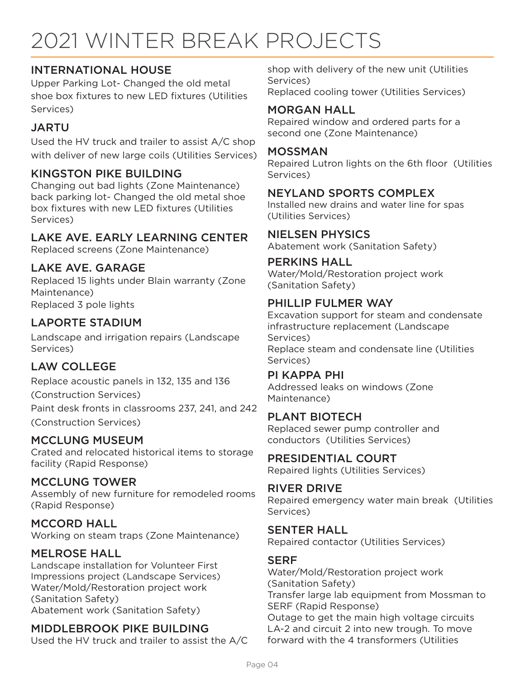# 2021 WINTER BREAK PROJECTS

#### INTERNATIONAL HOUSE

Upper Parking Lot- Changed the old metal shoe box fixtures to new LED fixtures (Utilities Services)

#### JARTU

Used the HV truck and trailer to assist A/C shop with deliver of new large coils (Utilities Services)

#### KINGSTON PIKE BUILDING

Changing out bad lights (Zone Maintenance) back parking lot- Changed the old metal shoe box fixtures with new LED fixtures (Utilities Services)

#### LAKE AVE. EARLY LEARNING CENTER

Replaced screens (Zone Maintenance)

#### LAKE AVE. GARAGE

Replaced 15 lights under Blain warranty (Zone Maintenance) Replaced 3 pole lights

#### LAPORTE STADIUM

Landscape and irrigation repairs (Landscape Services)

#### LAW COLLEGE

Replace acoustic panels in 132, 135 and 136

(Construction Services)

Paint desk fronts in classrooms 237, 241, and 242 (Construction Services)

#### MCCLUNG MUSEUM

Crated and relocated historical items to storage facility (Rapid Response)

#### MCCLUNG TOWER

Assembly of new furniture for remodeled rooms (Rapid Response)

#### MCCORD HALL

Working on steam traps (Zone Maintenance)

#### MELROSE HALL

Landscape installation for Volunteer First Impressions project (Landscape Services) Water/Mold/Restoration project work (Sanitation Safety) Abatement work (Sanitation Safety)

#### MIDDLEBROOK PIKE BUILDING

Used the HV truck and trailer to assist the A/C

shop with delivery of the new unit (Utilities Services) Replaced cooling tower (Utilities Services)

#### MORGAN HALL

Repaired window and ordered parts for a second one (Zone Maintenance)

#### MOSSMAN

Repaired Lutron lights on the 6th floor (Utilities Services)

#### NEYLAND SPORTS COMPLEX

Installed new drains and water line for spas (Utilities Services)

#### NIELSEN PHYSICS

Abatement work (Sanitation Safety)

#### PERKINS HALL

Water/Mold/Restoration project work (Sanitation Safety)

#### PHILLIP FULMER WAY

Excavation support for steam and condensate infrastructure replacement (Landscape Services) Replace steam and condensate line (Utilities Services)

#### PI KAPPA PHI

Addressed leaks on windows (Zone Maintenance)

#### PLANT BIOTECH

Replaced sewer pump controller and conductors (Utilities Services)

#### PRESIDENTIAL COURT

Repaired lights (Utilities Services)

#### RIVER DRIVE

Repaired emergency water main break (Utilities Services)

#### SENTER HALL

Repaired contactor (Utilities Services)

#### **SERF**

Water/Mold/Restoration project work (Sanitation Safety) Transfer large lab equipment from Mossman to SERF (Rapid Response) Outage to get the main high voltage circuits LA-2 and circuit 2 into new trough. To move forward with the 4 transformers (Utilities